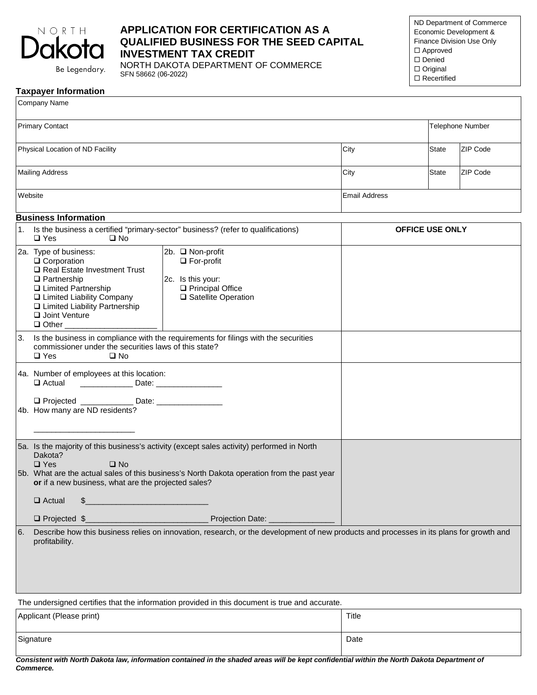

# **APPLICATION FOR CERTIFICATION AS A QUALIFIED BUSINESS FOR THE SEED CAPITAL INVESTMENT TAX CREDIT**

Be Legendary.

NORTH DAKOTA DEPARTMENT OF COMMERCE SFN 58662 (06-2022)

ND Department of Commerce Economic Development & Finance Division Use Only Approved □ Denied □ Original  $\square$  Recertified

|              | <b>Taxpayer Information</b> |
|--------------|-----------------------------|
| Company Name |                             |

| Company ivality                                                                                                                                                                                                                                                                                                                                 |                      |                        |                         |  |
|-------------------------------------------------------------------------------------------------------------------------------------------------------------------------------------------------------------------------------------------------------------------------------------------------------------------------------------------------|----------------------|------------------------|-------------------------|--|
| <b>Primary Contact</b>                                                                                                                                                                                                                                                                                                                          |                      |                        | <b>Telephone Number</b> |  |
| Physical Location of ND Facility                                                                                                                                                                                                                                                                                                                | City                 | <b>State</b>           | ZIP Code                |  |
| <b>Mailing Address</b>                                                                                                                                                                                                                                                                                                                          | City                 | <b>State</b>           | ZIP Code                |  |
| Website                                                                                                                                                                                                                                                                                                                                         | <b>Email Address</b> |                        |                         |  |
| <b>Business Information</b>                                                                                                                                                                                                                                                                                                                     |                      |                        |                         |  |
| 1. Is the business a certified "primary-sector" business? (refer to qualifications)<br>$\square$ Yes<br>$\square$ No                                                                                                                                                                                                                            |                      | <b>OFFICE USE ONLY</b> |                         |  |
| 2a. Type of business:<br>2b. □ Non-profit<br>$\Box$ Corporation<br>$\Box$ For-profit<br>Real Estate Investment Trust<br>$\Box$ Partnership<br>2c. Is this your:<br>Principal Office<br>□ Limited Partnership<br>□ Limited Liability Company<br>□ Satellite Operation<br>□ Limited Liability Partnership<br>Joint Venture<br>$\Box$ Other $\Box$ |                      |                        |                         |  |
| Is the business in compliance with the requirements for filings with the securities<br>3.<br>commissioner under the securities laws of this state?<br>$\square$ Yes<br>$\square$ No                                                                                                                                                             |                      |                        |                         |  |
| 4a. Number of employees at this location:<br>$\Box$ Actual                                                                                                                                                                                                                                                                                      |                      |                        |                         |  |
| □ Projected _______________ Date: ____________<br>4b. How many are ND residents?                                                                                                                                                                                                                                                                |                      |                        |                         |  |
| 5a. Is the majority of this business's activity (except sales activity) performed in North<br>Dakota?<br>$\Box$ Yes<br>$\square$ No<br>5b. What are the actual sales of this business's North Dakota operation from the past year                                                                                                               |                      |                        |                         |  |
| or if a new business, what are the projected sales?                                                                                                                                                                                                                                                                                             |                      |                        |                         |  |
| $\Box$ Actual                                                                                                                                                                                                                                                                                                                                   |                      |                        |                         |  |
| $\Box$ Projected \$<br>Projection Date: _<br>Describe how this business relies on innovation, research, or the development of new products and processes in its plans for growth and<br>6.<br>profitability.                                                                                                                                    |                      |                        |                         |  |
| The undersigned certifies that the information provided in this document is true and accurate.                                                                                                                                                                                                                                                  |                      |                        |                         |  |

| Applicant (Please print) | Title |
|--------------------------|-------|
| Signature                | Date  |

*Consistent with North Dakota law, information contained in the shaded areas will be kept confidential within the North Dakota Department of Commerce.*